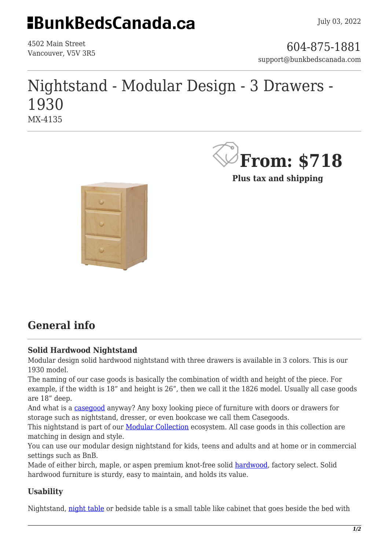## **EBunkBedsCanada.ca**

4502 Main Street

4502 Main Street<br>Vancouver, V5V 3R5 support@bunkbedscanada.com

## Nightstand - Modular Design - 3 Drawers - 1930 MX-4135



**Plus tax and shipping**



### **General info**

### **Solid Hardwood Nightstand**

Modular design solid hardwood nightstand with three drawers is available in 3 colors. This is our 1930 model.

The naming of our case goods is basically the combination of width and height of the piece. For example, if the width is 18" and height is 26", then we call it the 1826 model. Usually all case goods are 18" deep.

And what is a [casegood](https://en.wikipedia.org/wiki/Cabinetry) anyway? Any boxy looking piece of furniture with doors or drawers for storage such as nightstand, dresser, or even bookcase we call them Casegoods.

This nightstand is part of our **Modular Collection** ecosystem. All case goods in this collection are matching in design and style.

You can use our modular design nightstand for kids, teens and adults and at home or in commercial settings such as BnB.

Made of either birch, maple, or aspen premium knot-free solid [hardwood,](https://en.wikipedia.org/wiki/Hardwood) factory select. Solid hardwood furniture is sturdy, easy to maintain, and holds its value.

#### **Usability**

Nightstand, [night table](https://en.wikipedia.org/wiki/Nightstand) or bedside table is a small table like cabinet that goes beside the bed with